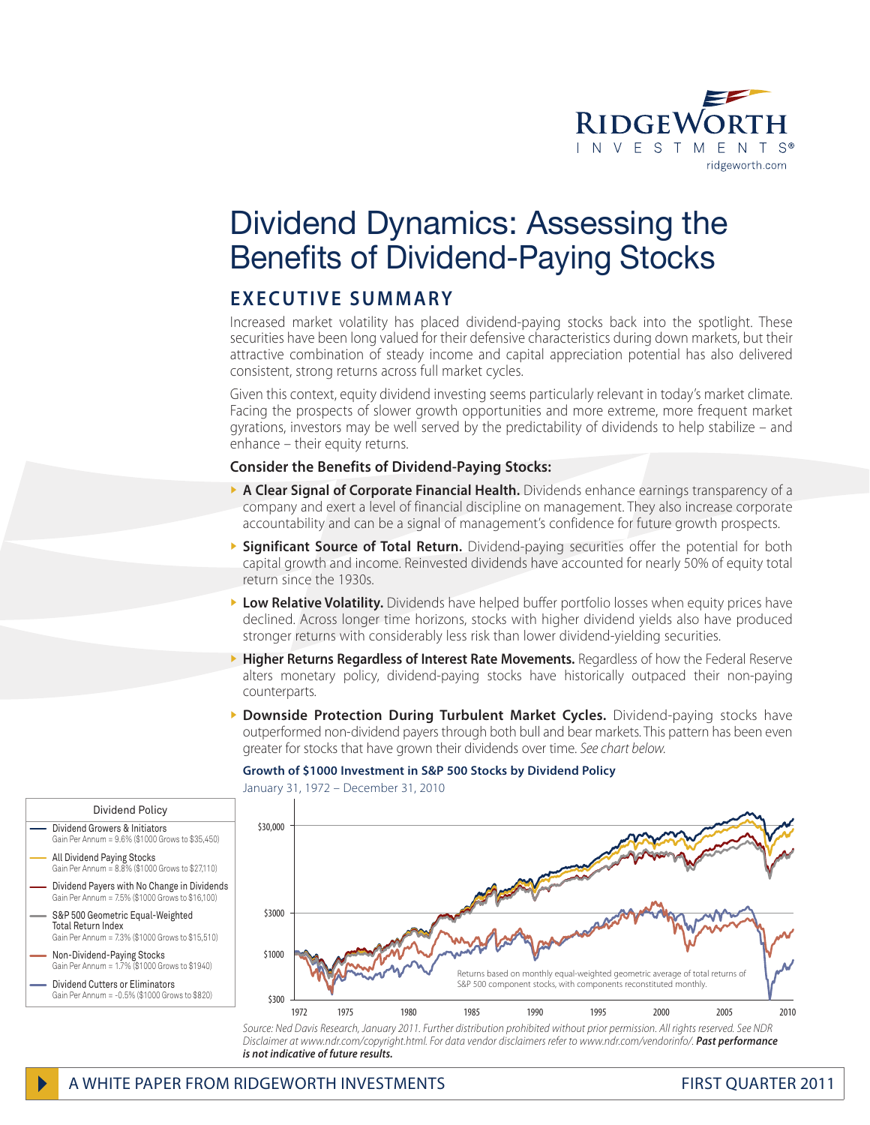

# Dividend Dynamics: Assessing the Benefits of Dividend-Paying Stocks

# EXECUTIVE SUMMARY

Increased market volatility has placed dividend-paying stocks back into the spotlight. These securities have been long valued for their defensive characteristics during down markets, but their attractive combination of steady income and capital appreciation potential has also delivered consistent, strong returns across full market cycles.

Given this context, equity dividend investing seems particularly relevant in today's market climate. Facing the prospects of slower growth opportunities and more extreme, more frequent market gyrations, investors may be well served by the predictability of dividends to help stabilize – and enhance – their equity returns.

#### **Consider the Benefits of Dividend-Paying Stocks:**

- ▶ A Clear Signal of Corporate Financial Health. Dividends enhance earnings transparency of a company and exert a level of financial discipline on management. They also increase corporate accountability and can be a signal of management's confidence for future growth prospects.
- **> Significant Source of Total Return.** Dividend-paying securities offer the potential for both capital growth and income. Reinvested dividends have accounted for nearly 50% of equity total return since the 1930s.
- **Low Relative Volatility.** Dividends have helped buffer portfolio losses when equity prices have declined. Across longer time horizons, stocks with higher dividend yields also have produced stronger returns with considerably less risk than lower dividend-yielding securities.
- } **Higher Returns Regardless of Interest Rate Movements.** Regardless of how the Federal Reserve alters monetary policy, dividend-paying stocks have historically outpaced their non-paying counterparts.
- } **Downside Protection During Turbulent Market Cycles.** Dividend-paying stocks have outperformed non-dividend payers through both bull and bear markets. This pattern has been even greater for stocks that have grown their dividends over time. *See chart below.*

### **Growth of \$1000 Investment in S&P 500 Stocks by Dividend Policy**

January 31, 1972 – December 31, 2010



*Disclaimer at www.ndr.com/copyright.html. For data vendor disclaimers refer to www.ndr.com/vendorinfo/. Past performance is not indicative of future results.*

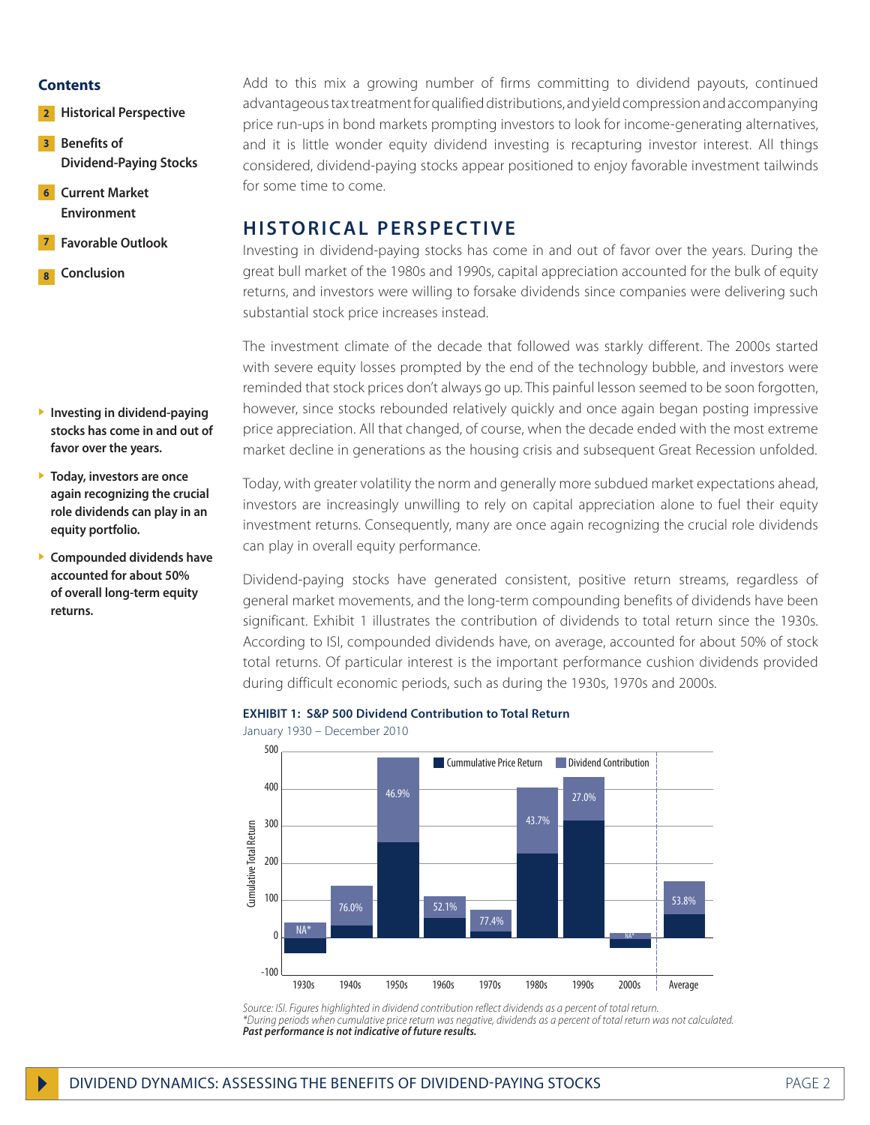#### **Contents**

- **2** Historical Perspective
- **Benefits of Dividend-Paying Stocks 3**
- **Current Market Environment 6**
- **Favorable Outlook 7**
- **Conclusion 8**

- } **Investing in dividend-paying stocks has come in and out of favor over the years.**
- } **Today, investors are once again recognizing the crucial role dividends can play in an equity portfolio.**
- } **Compounded dividends have accounted for about 50% of overall long-term equity returns.**

Add to this mix a growing number of firms committing to dividend payouts, continued advantageous tax treatment for qualified distributions, and yield compression and accompanying price run-ups in bond markets prompting investors to look for income-generating alternatives, and it is little wonder equity dividend investing is recapturing investor interest. All things considered, dividend-paying stocks appear positioned to enjoy favorable investment tailwinds for some time to come.

# **HISTORICAL PERSPECTIVE**

Investing in dividend-paying stocks has come in and out of favor over the years. During the great bull market of the 1980s and 1990s, capital appreciation accounted for the bulk of equity returns, and investors were willing to forsake dividends since companies were delivering such substantial stock price increases instead.

The investment climate of the decade that followed was starkly different. The 2000s started with severe equity losses prompted by the end of the technology bubble, and investors were reminded that stock prices don't always go up. This painful lesson seemed to be soon forgotten, however, since stocks rebounded relatively quickly and once again began posting impressive price appreciation. All that changed, of course, when the decade ended with the most extreme market decline in generations as the housing crisis and subsequent Great Recession unfolded.

Today, with greater volatility the norm and generally more subdued market expectations ahead, investors are increasingly unwilling to rely on capital appreciation alone to fuel their equity investment returns. Consequently, many are once again recognizing the crucial role dividends can play in overall equity performance.

Dividend-paying stocks have generated consistent, positive return streams, regardless of general market movements, and the long-term compounding benefits of dividends have been significant. Exhibit 1 illustrates the contribution of dividends to total return since the 1930s. According to ISI, compounded dividends have, on average, accounted for about 50% of stock total returns. Of particular interest is the important performance cushion dividends provided during difficult economic periods, such as during the 1930s, 1970s and 2000s.

#### **EXHIBIT 1: S&P 500 Dividend Contribution to Total Return**

500 **Cummulative Price Return Contribution** 400 46.9% 27.0% 43.7% 300 iumulative Total Return Cumulative Total Return 200 100 53.8%52.1% 76.0% 77.4% NA\*  $\Omega$ NA\* -100 1930s 1940s 1950s 1960s 1970s 1980s 1990s 2000s Average

January 1930 – December 2010

*Source: ISI. Figures highlighted in dividend contribution reflect dividends as a percent of total return. \*During periods when cumulative price return was negative, dividends as a percent of total return was not calculated. Past performance is not indicative of future results.*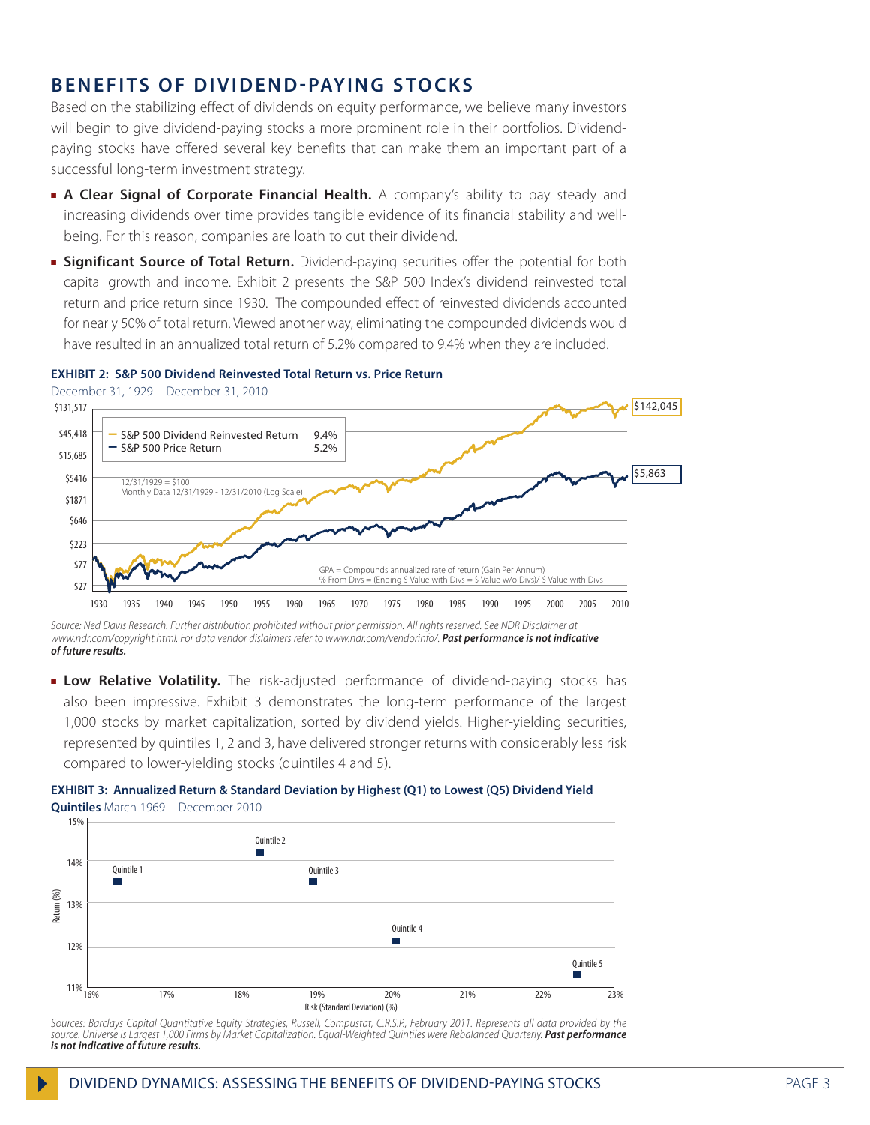# **BENEFITS OF DIVIDEND-PAYING STOCKS**

Based on the stabilizing effect of dividends on equity performance, we believe many investors will begin to give dividend-paying stocks a more prominent role in their portfolios. Dividendpaying stocks have offered several key benefits that can make them an important part of a successful long-term investment strategy.

- **A Clear Signal of Corporate Financial Health.** A company's ability to pay steady and increasing dividends over time provides tangible evidence of its financial stability and wellbeing. For this reason, companies are loath to cut their dividend.
- **Example Significant Source of Total Return.** Dividend-paying securities offer the potential for both capital growth and income. Exhibit 2 presents the S&P 500 Index's dividend reinvested total return and price return since 1930. The compounded effect of reinvested dividends accounted for nearly 50% of total return. Viewed another way, eliminating the compounded dividends would have resulted in an annualized total return of 5.2% compared to 9.4% when they are included.

#### **EXHIBIT 2: S&P 500 Dividend Reinvested Total Return vs. Price Return**

December 31, 1929 – December 31, 2010



*Source: Ned Davis Research. Further distribution prohibited without prior permission. All rights reserved. See NDR Disclaimer at www.ndr.com/copyright.html. For data vendor dislaimers refer to www.ndr.com/vendorinfo/. Past performance is not indicative of future results.*

**Low Relative Volatility.** The risk-adjusted performance of dividend-paying stocks has also been impressive. Exhibit 3 demonstrates the long-term performance of the largest 1,000 stocks by market capitalization, sorted by dividend yields. Higher-yielding securities, represented by quintiles 1, 2 and 3, have delivered stronger returns with considerably less risk compared to lower-yielding stocks (quintiles 4 and 5).

#### **EXHIBIT 3: Annualized Return & Standard Deviation by Highest (Q1) to Lowest (Q5) Dividend Yield Quintiles** March 1969 – December 2010



*Sources: Barclays Capital Quantitative Equity Strategies, Russell, Compustat, C.R.S.P., February 2011. Represents all data provided by the source. Universe is Largest 1,000 Firms by Market Capitalization. Equal-Weighted Quintiles were Rebalanced Quarterly. Past performance is not indicative of future results.*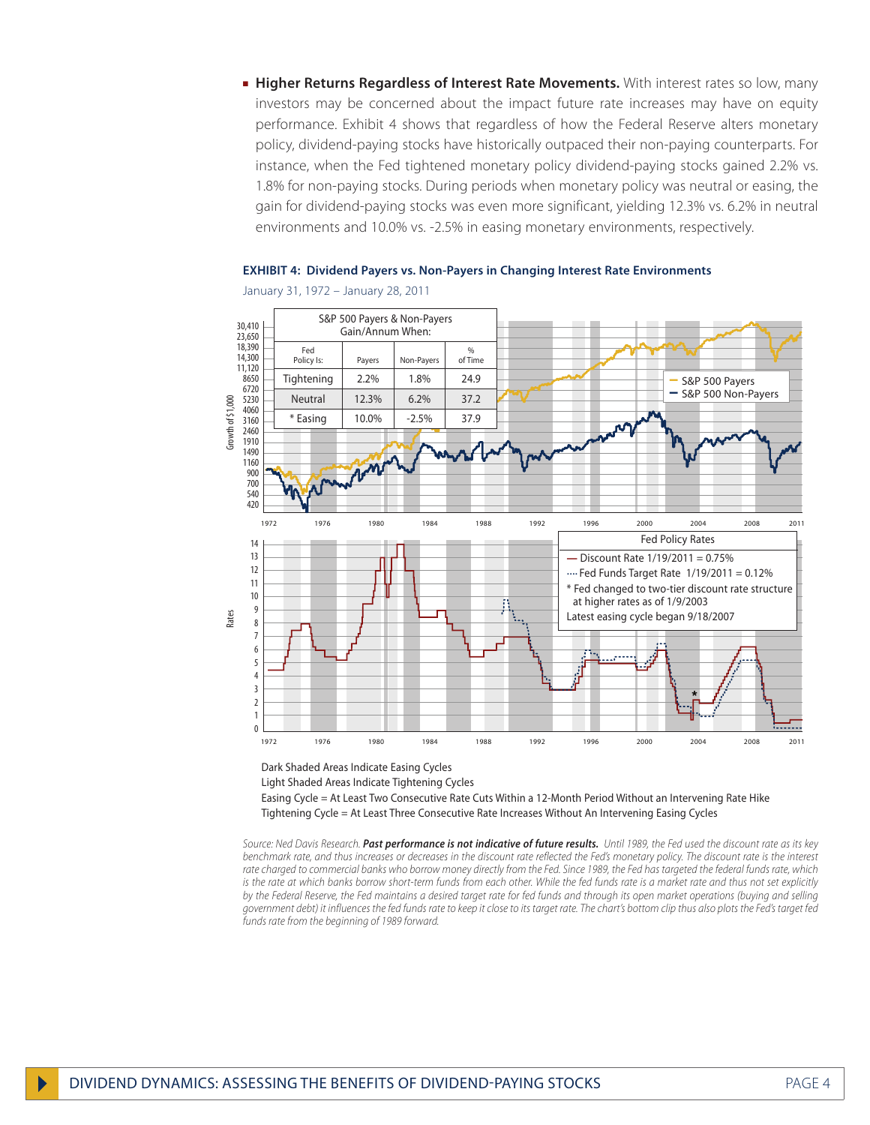**Higher Returns Regardless of Interest Rate Movements.** With interest rates so low, many investors may be concerned about the impact future rate increases may have on equity performance. Exhibit 4 shows that regardless of how the Federal Reserve alters monetary policy, dividend-paying stocks have historically outpaced their non-paying counterparts. For instance, when the Fed tightened monetary policy dividend-paying stocks gained 2.2% vs. 1.8% for non-paying stocks. During periods when monetary policy was neutral or easing, the gain for dividend-paying stocks was even more significant, yielding 12.3% vs. 6.2% in neutral environments and 10.0% vs. -2.5% in easing monetary environments, respectively.

**EXHIBIT 4: Dividend Payers vs. Non-Payers in Changing Interest Rate Environments**



January 31, 1972 – January 28, 2011

Dark Shaded Areas Indicate Easing Cycles

Light Shaded Areas Indicate Tightening Cycles

Easing Cycle = At Least Two Consecutive Rate Cuts Within a 12-Month Period Without an Intervening Rate Hike Tightening Cycle = At Least Three Consecutive Rate Increases Without An Intervening Easing Cycles

*Source: Ned Davis Research. Past performance is not indicative of future results. Until 1989, the Fed used the discount rate as its key benchmark rate, and thus increases or decreases in the discount rate reflected the Fed's monetary policy. The discount rate is the interest*  rate charged to commercial banks who borrow money directly from the Fed. Since 1989, the Fed has targeted the federal funds rate, which is the rate at which banks borrow short-term funds from each other. While the fed funds rate is a market rate and thus not set explicitly *by the Federal Reserve, the Fed maintains a desired target rate for fed funds and through its open market operations (buying and selling government debt) it influences the fed funds rate to keep it close to its target rate. The chart's bottom clip thus also plots the Fed's target fed funds rate from the beginning of 1989 forward.*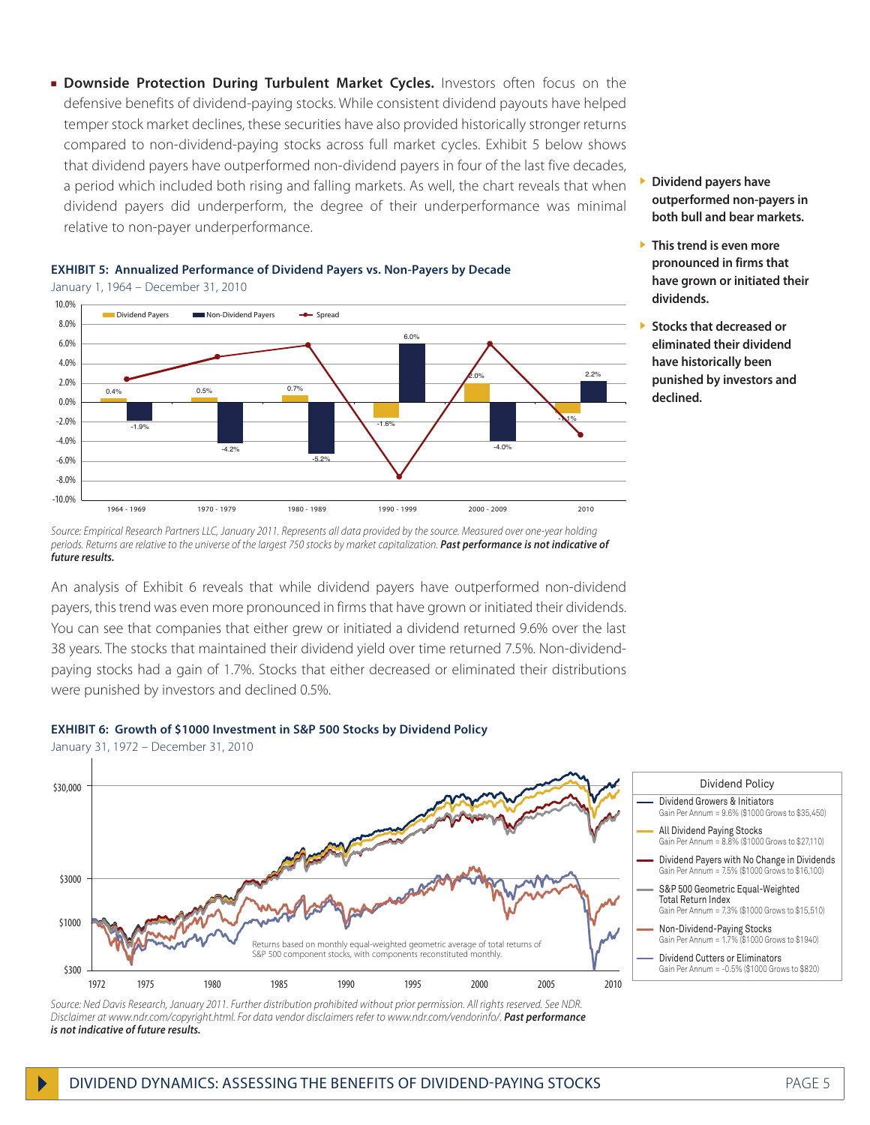**Downside Protection During Turbulent Market Cycles.** Investors often focus on the defensive benefits of dividend-paying stocks. While consistent dividend payouts have helped temper stock market declines, these securities have also provided historically stronger returns compared to non-dividend-paying stocks across full market cycles. Exhibit 5 below shows that dividend payers have outperformed non-dividend payers in four of the last five decades, a period which included both rising and falling markets. As well, the chart reveals that when dividend payers did underperform, the degree of their underperformance was minimal relative to non-payer underperformance.





*Source: Empirical Research Partners LLC, January 2011. Represents all data provided by the source. Measured over one-year holding periods. Returns are relative to the universe of the largest 750 stocks by market capitalization. Past performance is not indicative of future results.*

An analysis of Exhibit 6 reveals that while dividend payers have outperformed non-dividend payers, this trend was even more pronounced in firms that have grown or initiated their dividends. You can see that companies that either grew or initiated a dividend returned 9.6% over the last 38 years. The stocks that maintained their dividend yield over time returned 7.5%. Non-dividendpaying stocks had a gain of 1.7%. Stocks that either decreased or eliminated their distributions were punished by investors and declined 0.5%.





*Source: Ned Davis Research, January 2011. Further distribution prohibited without prior permission. All rights reserved. See NDR. Disclaimer at www.ndr.com/copyright.html. For data vendor disclaimers refer to www.ndr.com/vendorinfo/. Past performance is not indicative of future results.*

- } **Dividend payers have outperformed non-payers in both bull and bear markets.**
- } **This trend is even more pronounced in firms that have grown or initiated their dividends.**
- } **Stocks that decreased or eliminated their dividend have historically been punished by investors and declined.**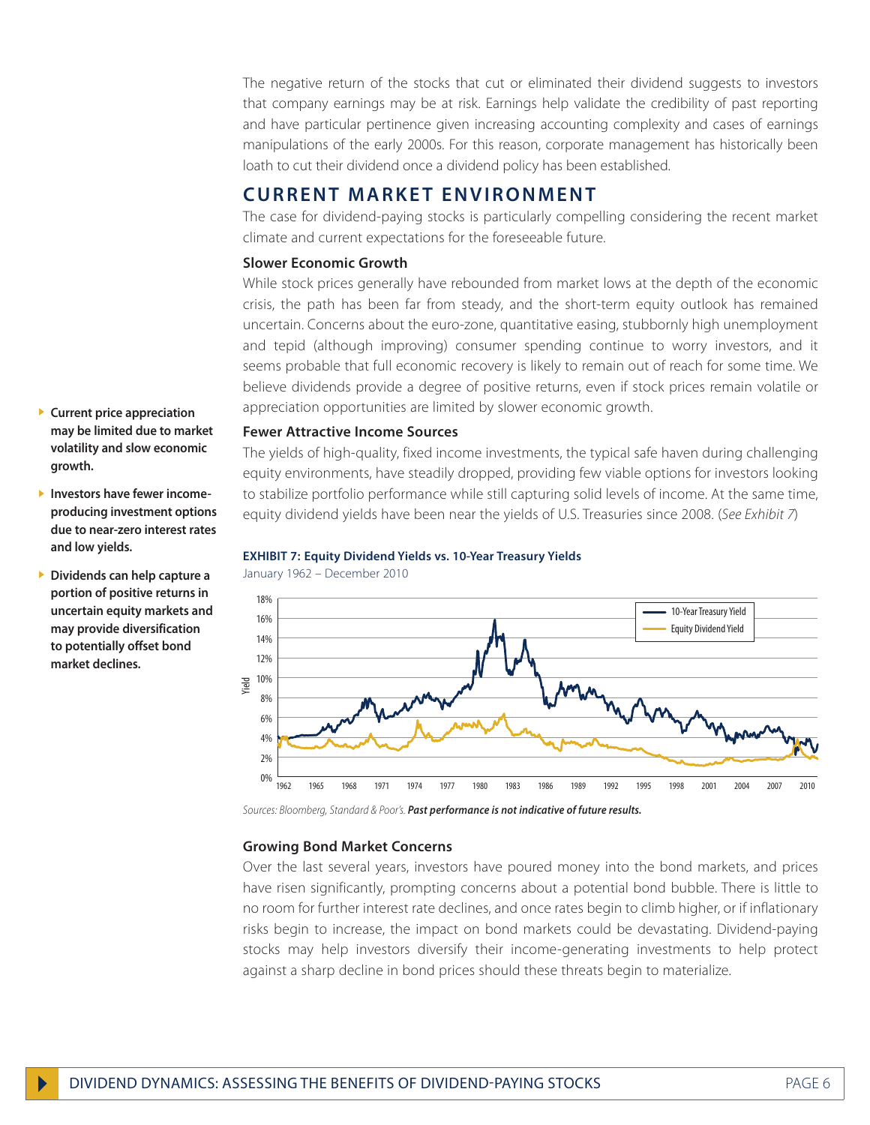The negative return of the stocks that cut or eliminated their dividend suggests to investors that company earnings may be at risk. Earnings help validate the credibility of past reporting and have particular pertinence given increasing accounting complexity and cases of earnings manipulations of the early 2000s. For this reason, corporate management has historically been loath to cut their dividend once a dividend policy has been established.

### **CURRENT MARKET ENVIRONMENT**

The case for dividend-paying stocks is particularly compelling considering the recent market climate and current expectations for the foreseeable future.

#### **Slower Economic Growth**

While stock prices generally have rebounded from market lows at the depth of the economic crisis, the path has been far from steady, and the short-term equity outlook has remained uncertain. Concerns about the euro-zone, quantitative easing, stubbornly high unemployment and tepid (although improving) consumer spending continue to worry investors, and it seems probable that full economic recovery is likely to remain out of reach for some time. We believe dividends provide a degree of positive returns, even if stock prices remain volatile or appreciation opportunities are limited by slower economic growth.

#### **Fewer Attractive Income Sources**

The yields of high-quality, fixed income investments, the typical safe haven during challenging equity environments, have steadily dropped, providing few viable options for investors looking to stabilize portfolio performance while still capturing solid levels of income. At the same time, equity dividend yields have been near the yields of U.S. Treasuries since 2008. (*See Exhibit 7*)

#### **EXHIBIT 7: Equity Dividend Yields vs. 10-Year Treasury Yields**



January 1962 – December 2010

*Sources: Bloomberg, Standard & Poor's. Past performance is not indicative of future results.*

#### **Growing Bond Market Concerns**

Over the last several years, investors have poured money into the bond markets, and prices have risen significantly, prompting concerns about a potential bond bubble. There is little to no room for further interest rate declines, and once rates begin to climb higher, or if inflationary risks begin to increase, the impact on bond markets could be devastating. Dividend-paying stocks may help investors diversify their income-generating investments to help protect against a sharp decline in bond prices should these threats begin to materialize.

- } **Current price appreciation may be limited due to market volatility and slow economic growth.**
- } **Investors have fewer incomeproducing investment options due to near-zero interest rates and low yields.**
- } **Dividends can help capture a portion of positive returns in uncertain equity markets and may provide diversification to potentially offset bond market declines.**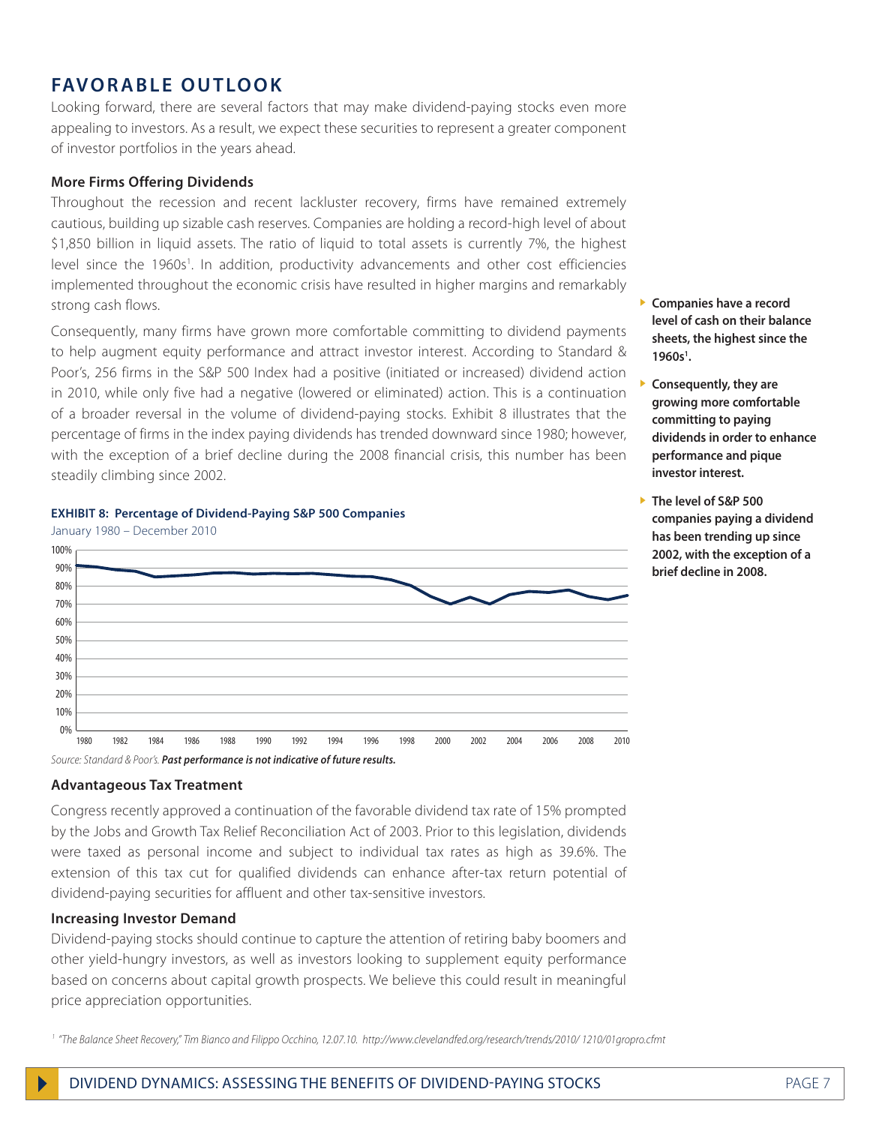# **FAVORABLE OUTLOOK**

Looking forward, there are several factors that may make dividend-paying stocks even more appealing to investors. As a result, we expect these securities to represent a greater component of investor portfolios in the years ahead.

#### **More Firms Offering Dividends**

Throughout the recession and recent lackluster recovery, firms have remained extremely cautious, building up sizable cash reserves. Companies are holding a record-high level of about \$1,850 billion in liquid assets. The ratio of liquid to total assets is currently 7%, the highest level since the 1960s<sup>1</sup>. In addition, productivity advancements and other cost efficiencies implemented throughout the economic crisis have resulted in higher margins and remarkably strong cash flows.

Consequently, many firms have grown more comfortable committing to dividend payments to help augment equity performance and attract investor interest. According to Standard & Poor's, 256 firms in the S&P 500 Index had a positive (initiated or increased) dividend action in 2010, while only five had a negative (lowered or eliminated) action. This is a continuation of a broader reversal in the volume of dividend-paying stocks. Exhibit 8 illustrates that the percentage of firms in the index paying dividends has trended downward since 1980; however, with the exception of a brief decline during the 2008 financial crisis, this number has been steadily climbing since 2002.



#### **EXHIBIT 8: Percentage of Dividend-Paying S&P 500 Companies**

*Source: Standard & Poor's. Past performance is not indicative of future results.*

#### **Advantageous Tax Treatment**

Congress recently approved a continuation of the favorable dividend tax rate of 15% prompted by the Jobs and Growth Tax Relief Reconciliation Act of 2003. Prior to this legislation, dividends were taxed as personal income and subject to individual tax rates as high as 39.6%. The extension of this tax cut for qualified dividends can enhance after-tax return potential of dividend-paying securities for affluent and other tax-sensitive investors.

#### **Increasing Investor Demand**

Dividend-paying stocks should continue to capture the attention of retiring baby boomers and other yield-hungry investors, as well as investors looking to supplement equity performance based on concerns about capital growth prospects. We believe this could result in meaningful price appreciation opportunities.

*<sup>1</sup> "The Balance Sheet Recovery," Tim Bianco and Filippo Occhino, 12.07.10. http://www.clevelandfed.org/research/trends/2010/ 1210/01gropro.cfmt*

- } **Companies have a record level of cash on their balance sheets, the highest since the 1960s1 .**
- } **Consequently, they are growing more comfortable committing to paying dividends in order to enhance performance and pique investor interest.**
- } **The level of S&P 500 companies paying a dividend has been trending up since 2002, with the exception of a brief decline in 2008.**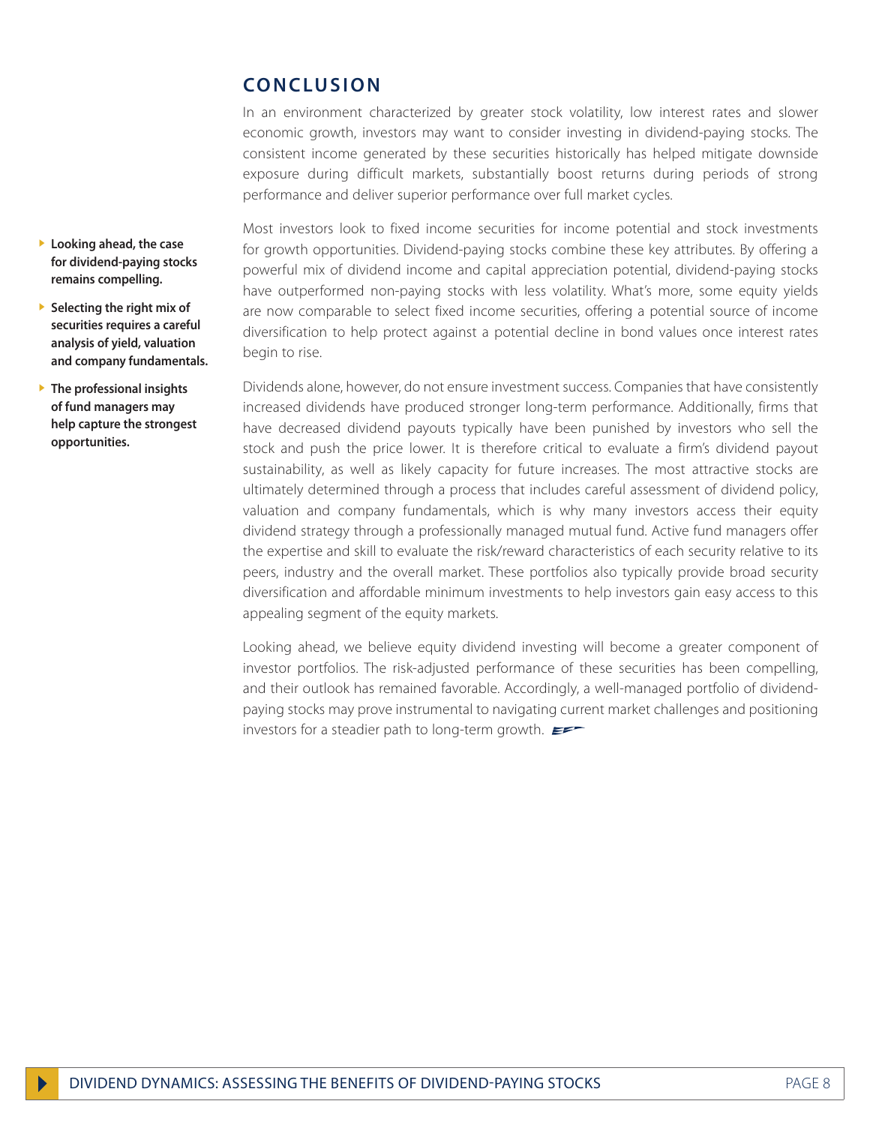# **Conclusion**

In an environment characterized by greater stock volatility, low interest rates and slower economic growth, investors may want to consider investing in dividend-paying stocks. The consistent income generated by these securities historically has helped mitigate downside exposure during difficult markets, substantially boost returns during periods of strong performance and deliver superior performance over full market cycles.

Most investors look to fixed income securities for income potential and stock investments for growth opportunities. Dividend-paying stocks combine these key attributes. By offering a powerful mix of dividend income and capital appreciation potential, dividend-paying stocks have outperformed non-paying stocks with less volatility. What's more, some equity yields are now comparable to select fixed income securities, offering a potential source of income diversification to help protect against a potential decline in bond values once interest rates begin to rise.

Dividends alone, however, do not ensure investment success. Companies that have consistently increased dividends have produced stronger long-term performance. Additionally, firms that have decreased dividend payouts typically have been punished by investors who sell the stock and push the price lower. It is therefore critical to evaluate a firm's dividend payout sustainability, as well as likely capacity for future increases. The most attractive stocks are ultimately determined through a process that includes careful assessment of dividend policy, valuation and company fundamentals, which is why many investors access their equity dividend strategy through a professionally managed mutual fund. Active fund managers offer the expertise and skill to evaluate the risk/reward characteristics of each security relative to its peers, industry and the overall market. These portfolios also typically provide broad security diversification and affordable minimum investments to help investors gain easy access to this appealing segment of the equity markets.

Looking ahead, we believe equity dividend investing will become a greater component of investor portfolios. The risk-adjusted performance of these securities has been compelling, and their outlook has remained favorable. Accordingly, a well-managed portfolio of dividendpaying stocks may prove instrumental to navigating current market challenges and positioning investors for a steadier path to long-term growth.

- } **Looking ahead, the case for dividend-paying stocks remains compelling.**
- } **Selecting the right mix of securities requires a careful analysis of yield, valuation and company fundamentals.**
- } **The professional insights of fund managers may help capture the strongest opportunities.**